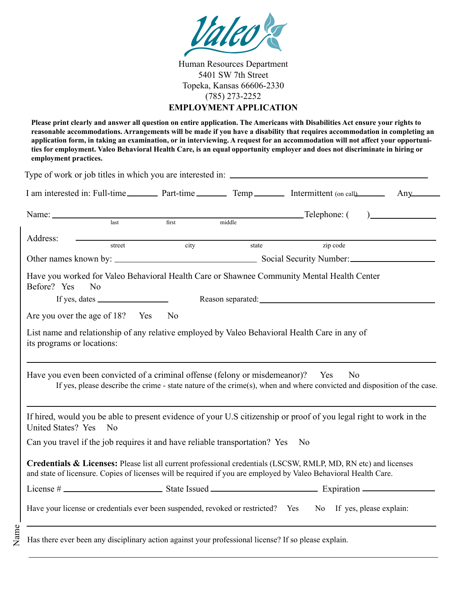

Human Resources Department 5401 SW 7th Street Topeka, Kansas 66606-2330 (785) 273-2252 **EMPLOYMENT APPLICATION**

**Please print clearly and answer all question on entire application. The Americans with Disabilities Act ensure your rights to reasonable accommodations. Arrangements will be made if you have a disability that requires accommodation in completing an application form, in taking an examination, or in interviewing. A request for an accommodation will not affect your opportunities for employment. Valeo Behavioral Health Care, is an equal opportunity employer and does not discriminate in hiring or employment practices.**

| I am interested in: Full-time Part-time Temp Temp Intermittent (on call Any                                                                                                                                                              |       |        |                                               |  |
|------------------------------------------------------------------------------------------------------------------------------------------------------------------------------------------------------------------------------------------|-------|--------|-----------------------------------------------|--|
| Name: $\_\_$                                                                                                                                                                                                                             |       |        | $\qquad \qquad \text{Telephone: } ( \qquad )$ |  |
| last                                                                                                                                                                                                                                     | first | middle |                                               |  |
| Address:<br>street                                                                                                                                                                                                                       | city  | state  | zip code                                      |  |
|                                                                                                                                                                                                                                          |       |        |                                               |  |
| Have you worked for Valeo Behavioral Health Care or Shawnee Community Mental Health Center<br>Before? Yes<br>N <sub>0</sub>                                                                                                              |       |        |                                               |  |
| If yes, dates $\frac{1}{\sqrt{1-\frac{1}{2}}}\left  \int_{0}^{2\pi} 1 \right  dx$                                                                                                                                                        |       |        |                                               |  |
| Are you over the age of 18? Yes No                                                                                                                                                                                                       |       |        |                                               |  |
| its programs or locations:<br>Have you even been convicted of a criminal offense (felony or misdemeanor)? Yes<br>If yes, please describe the crime - state nature of the crime(s), when and where convicted and disposition of the case. |       |        | N <sub>0</sub>                                |  |
| If hired, would you be able to present evidence of your U.S citizenship or proof of you legal right to work in the<br>United States? Yes<br>No                                                                                           |       |        |                                               |  |
| Can you travel if the job requires it and have reliable transportation? Yes No                                                                                                                                                           |       |        |                                               |  |
| Credentials & Licenses: Please list all current professional credentials (LSCSW, RMLP, MD, RN etc) and licenses<br>and state of licensure. Copies of licenses will be required if you are employed by Valeo Behavioral Health Care.      |       |        |                                               |  |
|                                                                                                                                                                                                                                          |       |        |                                               |  |
| Have your license or credentials ever been suspended, revoked or restricted? Yes No If yes, please explain:                                                                                                                              |       |        |                                               |  |
| Has there ever been any disciplinary action against your professional license? If so please explain.                                                                                                                                     |       |        |                                               |  |

Name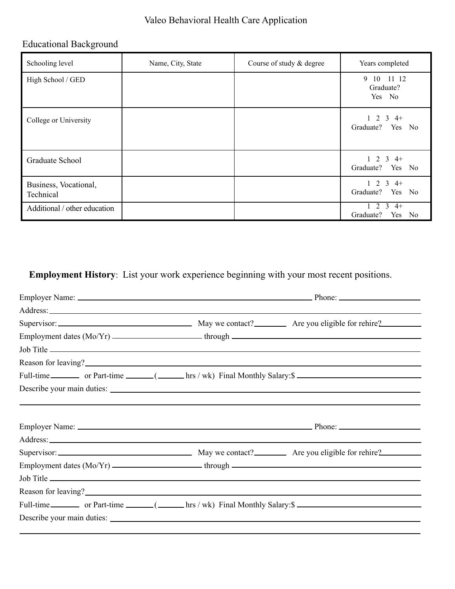## Valeo Behavioral Health Care Application

## Educational Background

| Schooling level                    | Name, City, State | Course of study & degree | Years completed                                      |
|------------------------------------|-------------------|--------------------------|------------------------------------------------------|
| High School / GED                  |                   |                          | 10 11 12<br>9<br>Graduate?<br>Yes No                 |
| College or University              |                   |                          | 2<br>3<br>$4+$<br>Graduate?<br>Yes No                |
| Graduate School                    |                   |                          | $1 \t2 \t3 \t4+$<br>Yes<br>Graduate?<br>No           |
| Business, Vocational,<br>Technical |                   |                          | $2 \t3 \t4+$<br>Graduate?<br>Yes<br>No               |
| Additional / other education       |                   |                          | $4+$<br>2<br>3<br>Graduate?<br>Yes<br>N <sub>0</sub> |

**Employment History**: List your work experience beginning with your most recent positions.

| Employment dates (Mo/Yr) _____________________through ___________________________                                                                                                                                              |  |  |
|--------------------------------------------------------------------------------------------------------------------------------------------------------------------------------------------------------------------------------|--|--|
|                                                                                                                                                                                                                                |  |  |
| Reason for leaving?<br><u>Example 2001</u>                                                                                                                                                                                     |  |  |
| Full-time __________ or Part-time _______( _______ hrs / wk) Final Monthly Salary: \$                                                                                                                                          |  |  |
| Describe your main duties:                                                                                                                                                                                                     |  |  |
|                                                                                                                                                                                                                                |  |  |
|                                                                                                                                                                                                                                |  |  |
|                                                                                                                                                                                                                                |  |  |
|                                                                                                                                                                                                                                |  |  |
|                                                                                                                                                                                                                                |  |  |
| Employment dates (Mo/Yr) _____________________through ___________________________                                                                                                                                              |  |  |
|                                                                                                                                                                                                                                |  |  |
| Reason for leaving?                                                                                                                                                                                                            |  |  |
| Full-time __________ or Part-time _______( _______ hrs / wk) Final Monthly Salary: \$                                                                                                                                          |  |  |
| Describe your main duties: Note that the same state of the state of the state of the state of the state of the state of the state of the state of the state of the state of the state of the state of the state of the state o |  |  |
|                                                                                                                                                                                                                                |  |  |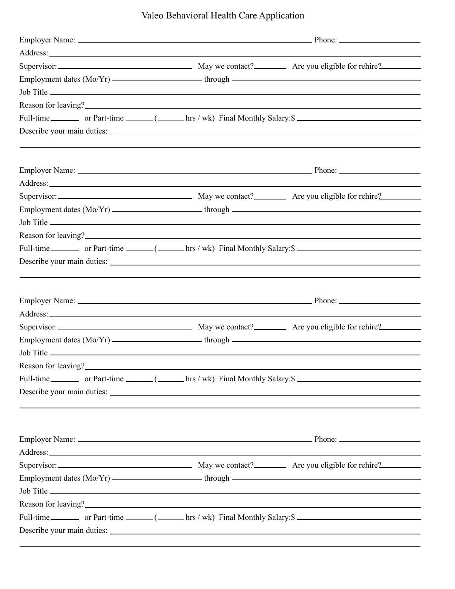Valeo Behavioral Health Care Application

| Address: Note and the second contract of the second contract of the second contract of the second contract of the second contract of the second contract of the second contract of the second contract of the second contract          |                                                                                                                                                                   |  |  |
|----------------------------------------------------------------------------------------------------------------------------------------------------------------------------------------------------------------------------------------|-------------------------------------------------------------------------------------------------------------------------------------------------------------------|--|--|
|                                                                                                                                                                                                                                        |                                                                                                                                                                   |  |  |
| Employment dates (Mo/Yr) _____________________through ___________________________                                                                                                                                                      |                                                                                                                                                                   |  |  |
|                                                                                                                                                                                                                                        |                                                                                                                                                                   |  |  |
| Reason for leaving?<br><u>Example 2001</u>                                                                                                                                                                                             |                                                                                                                                                                   |  |  |
| Full-time __________ or Part-time _______( _______ hrs / wk) Final Monthly Salary: \$                                                                                                                                                  |                                                                                                                                                                   |  |  |
| Describe your main duties:                                                                                                                                                                                                             |                                                                                                                                                                   |  |  |
|                                                                                                                                                                                                                                        |                                                                                                                                                                   |  |  |
|                                                                                                                                                                                                                                        |                                                                                                                                                                   |  |  |
| Address: Andreas Address: Address: Address: Address: Address: Address: Address: Address: Address: Address: Address: Address: Address: Address: Address: Address: Address: Address: Address: Address: Address: Address: Address         |                                                                                                                                                                   |  |  |
|                                                                                                                                                                                                                                        |                                                                                                                                                                   |  |  |
|                                                                                                                                                                                                                                        |                                                                                                                                                                   |  |  |
|                                                                                                                                                                                                                                        |                                                                                                                                                                   |  |  |
| Reason for leaving?<br><u>International contract of the set of the set of the set of the set of the set of the set of the set of the set of the set of the set of the set of the set of the set of the set of the set of the set o</u> |                                                                                                                                                                   |  |  |
| Full-time __________ or Part-time _______( _______ hrs / wk) Final Monthly Salary: \$                                                                                                                                                  |                                                                                                                                                                   |  |  |
| Describe your main duties:                                                                                                                                                                                                             |                                                                                                                                                                   |  |  |
|                                                                                                                                                                                                                                        |                                                                                                                                                                   |  |  |
|                                                                                                                                                                                                                                        |                                                                                                                                                                   |  |  |
| Address: Note that the contract of the contract of the contract of the contract of the contract of the contract of the contract of the contract of the contract of the contract of the contract of the contract of the contrac         |                                                                                                                                                                   |  |  |
|                                                                                                                                                                                                                                        |                                                                                                                                                                   |  |  |
|                                                                                                                                                                                                                                        |                                                                                                                                                                   |  |  |
|                                                                                                                                                                                                                                        |                                                                                                                                                                   |  |  |
| Reason for leaving?<br><u>example 2001</u><br>Full-time __________ or Part-time _______( _______ hrs / wk) Final Monthly Salary: \$                                                                                                    |                                                                                                                                                                   |  |  |
| Describe your main duties:                                                                                                                                                                                                             |                                                                                                                                                                   |  |  |
|                                                                                                                                                                                                                                        | ,我们也不能会在这里,我们的人们也不能会在这里,我们也不能会在这里,我们也不能会在这里,我们也不能会在这里,我们也不能会在这里,我们也不能会不能会不能会。<br>第2012章 我们的人们,我们的人们的人们,我们的人们的人们,我们的人们的人们的人们,我们的人们的人们的人们,我们的人们的人们,我们的人们的人们,我们的人们的人 |  |  |
|                                                                                                                                                                                                                                        |                                                                                                                                                                   |  |  |
| Address: Note that the contract of the contract of the contract of the contract of the contract of the contract of the contract of the contract of the contract of the contract of the contract of the contract of the contrac         |                                                                                                                                                                   |  |  |
|                                                                                                                                                                                                                                        |                                                                                                                                                                   |  |  |
|                                                                                                                                                                                                                                        |                                                                                                                                                                   |  |  |
|                                                                                                                                                                                                                                        |                                                                                                                                                                   |  |  |
| Reason for leaving?<br><u>International contract of the set of the set of the set of the set of the set of the set of the set of the set of the set of the set of the set of the set of the set of the set of the set of the set o</u> |                                                                                                                                                                   |  |  |
| Full-time __________ or Part-time _______( _______ hrs / wk) Final Monthly Salary: \$                                                                                                                                                  |                                                                                                                                                                   |  |  |
| Describe your main duties:                                                                                                                                                                                                             |                                                                                                                                                                   |  |  |